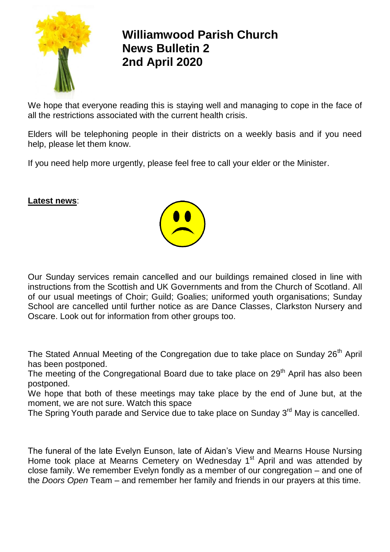

## **Williamwood Parish Church News Bulletin 2 2nd April 2020**

We hope that everyone reading this is staying well and managing to cope in the face of all the restrictions associated with the current health crisis.

Elders will be telephoning people in their districts on a weekly basis and if you need help, please let them know.

If you need help more urgently, please feel free to call your elder or the Minister.

## **Latest news**:



The Stated Annual Meeting of the Congregation due to take place on Sunday 26<sup>th</sup> April has been postponed.

The meeting of the Congregational Board due to take place on 29<sup>th</sup> April has also been postponed.

We hope that both of these meetings may take place by the end of June but, at the moment, we are not sure. Watch this space

The Spring Youth parade and Service due to take place on Sunday 3<sup>rd</sup> May is cancelled.

The funeral of the late Evelyn Eunson, late of Aidan's View and Mearns House Nursing Home took place at Mearns Cemetery on Wednesday 1<sup>st</sup> April and was attended by close family. We remember Evelyn fondly as a member of our congregation – and one of the *Doors Open* Team – and remember her family and friends in our prayers at this time.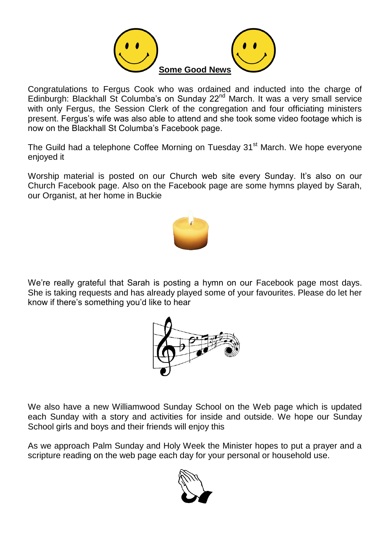

Congratulations to Fergus Cook who was ordained and inducted into the charge of Edinburgh: Blackhall St Columba's on Sunday 22nd March. It was a very small service with only Fergus, the Session Clerk of the congregation and four officiating ministers present. Fergus's wife was also able to attend and she took some video footage which is now on the Blackhall St Columba's Facebook page.

The Guild had a telephone Coffee Morning on Tuesday 31<sup>st</sup> March. We hope everyone enjoyed it

Worship material is posted on our Church web site every Sunday. It's also on our Church Facebook page. Also on the Facebook page are some hymns played by Sarah, our Organist, at her home in Buckie



We're really grateful that Sarah is posting a hymn on our Facebook page most days. She is taking requests and has already played some of your favourites. Please do let her know if there's something you'd like to hear



We also have a new Williamwood Sunday School on the Web page which is updated each Sunday with a story and activities for inside and outside. We hope our Sunday School girls and boys and their friends will enjoy this

As we approach Palm Sunday and Holy Week the Minister hopes to put a prayer and a scripture reading on the web page each day for your personal or household use.

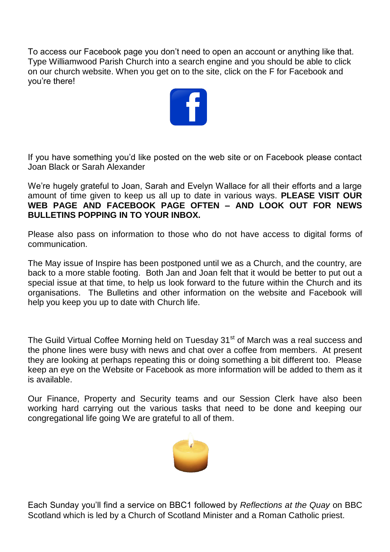To access our Facebook page you don't need to open an account or anything like that. Type Williamwood Parish Church into a search engine and you should be able to click on our church website. When you get on to the site, click on the F for Facebook and you're there!



If you have something you'd like posted on the web site or on Facebook please contact Joan Black or Sarah Alexander

We're hugely grateful to Joan, Sarah and Evelyn Wallace for all their efforts and a large amount of time given to keep us all up to date in various ways. **PLEASE VISIT OUR WEB PAGE AND FACEBOOK PAGE OFTEN – AND LOOK OUT FOR NEWS BULLETINS POPPING IN TO YOUR INBOX.**

Please also pass on information to those who do not have access to digital forms of communication.

The May issue of Inspire has been postponed until we as a Church, and the country, are back to a more stable footing. Both Jan and Joan felt that it would be better to put out a special issue at that time, to help us look forward to the future within the Church and its organisations. The Bulletins and other information on the website and Facebook will help you keep you up to date with Church life.

The Guild Virtual Coffee Morning held on Tuesday 31<sup>st</sup> of March was a real success and the phone lines were busy with news and chat over a coffee from members. At present they are looking at perhaps repeating this or doing something a bit different too. Please keep an eye on the Website or Facebook as more information will be added to them as it is available.

Our Finance, Property and Security teams and our Session Clerk have also been working hard carrying out the various tasks that need to be done and keeping our congregational life going We are grateful to all of them.



Each Sunday you'll find a service on BBC1 followed by *Reflections at the Quay* on BBC Scotland which is led by a Church of Scotland Minister and a Roman Catholic priest.